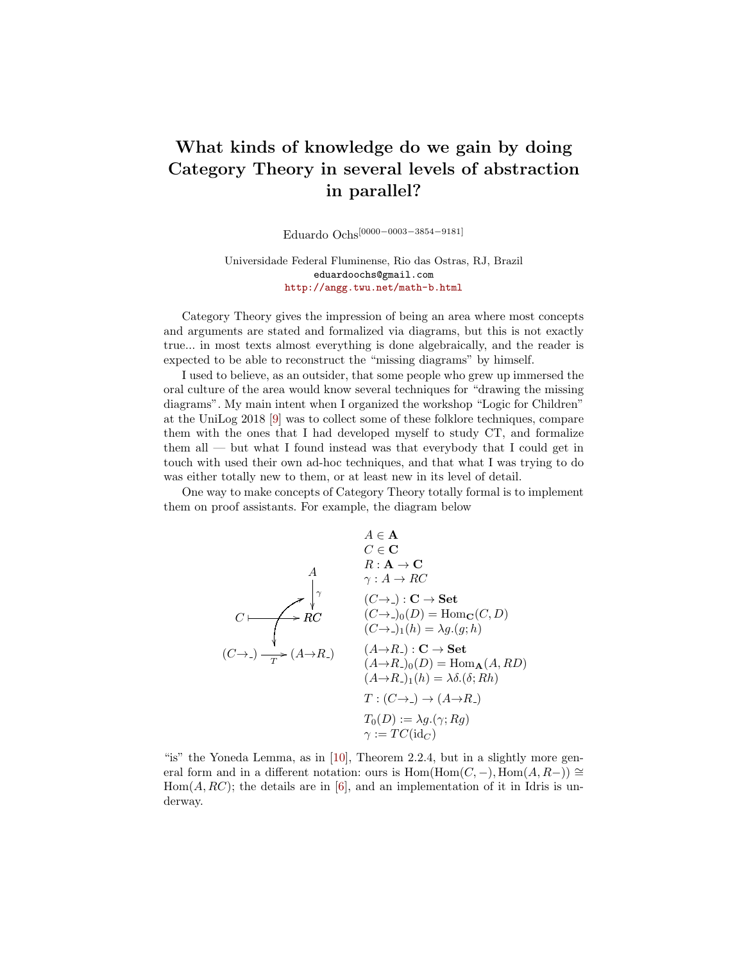## What kinds of knowledge do we gain by doing Category Theory in several levels of abstraction in parallel?

Eduardo Ochs[0000−0003−3854−9181]

Universidade Federal Fluminense, Rio das Ostras, RJ, Brazil eduardoochs@gmail.com <http://angg.twu.net/math-b.html>

Category Theory gives the impression of being an area where most concepts and arguments are stated and formalized via diagrams, but this is not exactly true... in most texts almost everything is done algebraically, and the reader is expected to be able to reconstruct the "missing diagrams" by himself.

I used to believe, as an outsider, that some people who grew up immersed the oral culture of the area would know several techniques for "drawing the missing diagrams". My main intent when I organized the workshop "Logic for Children" at the UniLog 2018 [\[9\]](#page-3-0) was to collect some of these folklore techniques, compare them with the ones that I had developed myself to study CT, and formalize them all — but what I found instead was that everybody that I could get in touch with used their own ad-hoc techniques, and that what I was trying to do was either totally new to them, or at least new in its level of detail.

One way to make concepts of Category Theory totally formal is to implement them on proof assistants. For example, the diagram below

$$
A \in \mathbf{A}
$$
  
\n
$$
C \in \mathbf{C}
$$
  
\n
$$
A \qquad R: \mathbf{A} \to \mathbf{C}
$$
  
\n
$$
\gamma: A \to RC
$$
  
\n
$$
(C \to -) : \mathbf{C} \to \mathbf{Set}
$$
  
\n
$$
(C \to -) \quad (D) = \text{Hom}_{\mathbf{C}}(C, D)
$$
  
\n
$$
(C \to -) \quad (A \to R_-) : \mathbf{C} \to \mathbf{Set}
$$
  
\n
$$
(A \to R_-) : \mathbf{C} \to \mathbf{Set}
$$
  
\n
$$
(A \to R_-) \quad (D) = \text{Hom}_{\mathbf{A}}(A, RD)
$$
  
\n
$$
(A \to R_-) \quad (D) = \text{Hom}_{\mathbf{A}}(A, RD)
$$
  
\n
$$
T: (C \to -) \to (A \to R_-)
$$
  
\n
$$
T_0(D) := \lambda g. (\gamma; Rg)
$$
  
\n
$$
\gamma: = TC(\text{id}_C)
$$

"is" the Yoneda Lemma, as in [\[10\]](#page-3-1), Theorem 2.2.4, but in a slightly more general form and in a different notation: ours is  $Hom(Hom(C, -), Hom(A, R-)) \cong$  $Hom(A, RC);$  the details are in [\[6\]](#page-3-2), and an implementation of it in Idris is underway.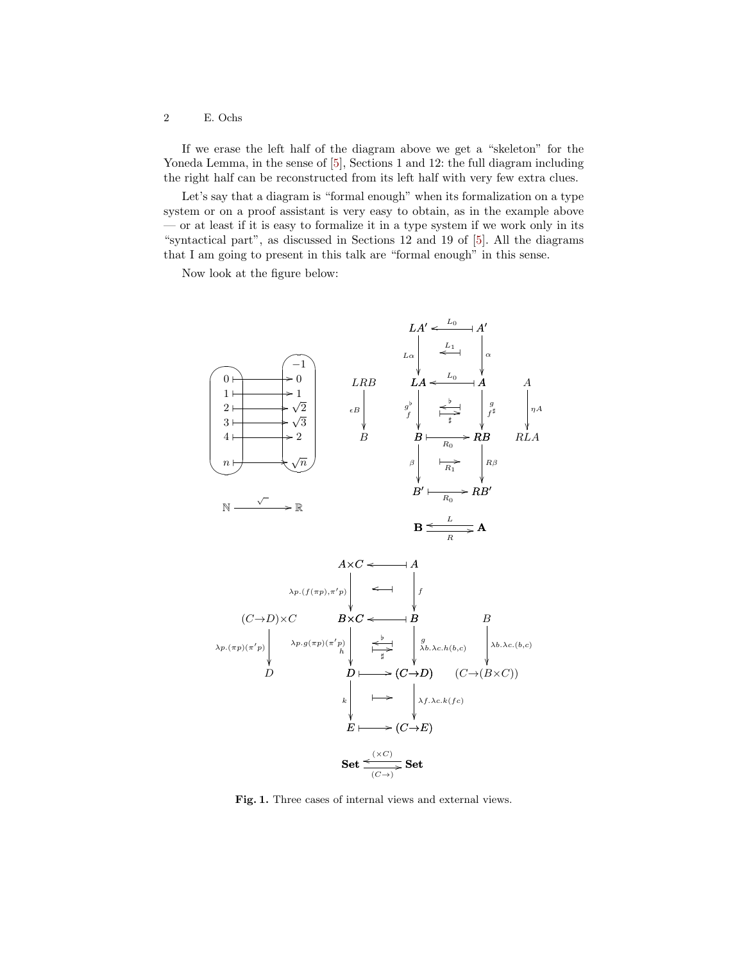## 2 E. Ochs

If we erase the left half of the diagram above we get a "skeleton" for the Yoneda Lemma, in the sense of  $[5]$ , Sections 1 and 12: the full diagram including the right half can be reconstructed from its left half with very few extra clues.

Let's say that a diagram is "formal enough" when its formalization on a type system or on a proof assistant is very easy to obtain, as in the example above — or at least if it is easy to formalize it in a type system if we work only in its "syntactical part", as discussed in Sections 12 and 19 of [\[5\]](#page-3-3). All the diagrams that I am going to present in this talk are "formal enough" in this sense.

Now look at the figure below:



Fig. 1. Three cases of internal views and external views.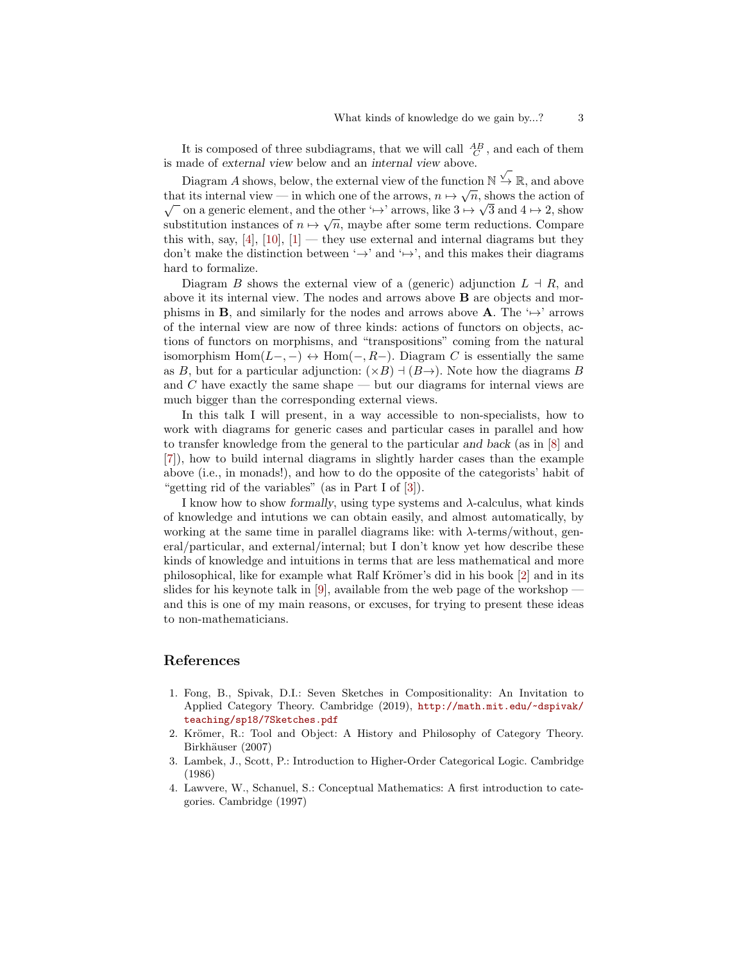It is composed of three subdiagrams, that we will call  $\frac{AB}{C}$ , and each of them is made of external view below and an internal view above. √

Diagram A shows, below, the external view of the function  $\mathbb{N} \to \mathbb{R}$ , and above that its internal view — in which one of the arrows,  $n \mapsto \sqrt{n}$ , shows the action of on a generic element, and the other ' $\mapsto$ ' arrows, like  $3 \mapsto \sqrt{3}$  and  $4 \mapsto 2$ , show substitution instances of  $n \mapsto \sqrt{n}$ , maybe after some term reductions. Compare this with, say,  $[4]$ ,  $[10]$ ,  $[1]$  — they use external and internal diagrams but they don't make the distinction between  $\hookrightarrow$ ' and  $\hookrightarrow$ ', and this makes their diagrams hard to formalize.

Diagram B shows the external view of a (generic) adjunction  $L \dashv R$ , and above it its internal view. The nodes and arrows above B are objects and morphisms in **B**, and similarly for the nodes and arrows above **A**. The ' $\mapsto$ ' arrows of the internal view are now of three kinds: actions of functors on objects, actions of functors on morphisms, and "transpositions" coming from the natural isomorphism  $Hom(L-, -) \leftrightarrow Hom(-, R-)$ . Diagram C is essentially the same as B, but for a particular adjunction:  $(\times B) \dashv (B \rightarrow)$ . Note how the diagrams B and C have exactly the same shape — but our diagrams for internal views are much bigger than the corresponding external views.

In this talk I will present, in a way accessible to non-specialists, how to work with diagrams for generic cases and particular cases in parallel and how to transfer knowledge from the general to the particular and back (as in [\[8\]](#page-3-4) and [\[7\]](#page-3-5)), how to build internal diagrams in slightly harder cases than the example above (i.e., in monads!), and how to do the opposite of the categorists' habit of "getting rid of the variables" (as in Part I of [\[3\]](#page-2-2)).

I know how to show formally, using type systems and λ-calculus, what kinds of knowledge and intutions we can obtain easily, and almost automatically, by working at the same time in parallel diagrams like: with  $\lambda$ -terms/without, general/particular, and external/internal; but I don't know yet how describe these kinds of knowledge and intuitions in terms that are less mathematical and more philosophical, like for example what Ralf Krömer's did in his book [\[2\]](#page-2-3) and in its slides for his keynote talk in [\[9\]](#page-3-0), available from the web page of the workshop  $\cdot$ and this is one of my main reasons, or excuses, for trying to present these ideas to non-mathematicians.

## References

- <span id="page-2-1"></span>1. Fong, B., Spivak, D.I.: Seven Sketches in Compositionality: An Invitation to Applied Category Theory. Cambridge (2019), [http://math.mit.edu/~dspivak/](http://math.mit.edu/~dspivak/teaching/sp18/7Sketches.pdf) [teaching/sp18/7Sketches.pdf](http://math.mit.edu/~dspivak/teaching/sp18/7Sketches.pdf)
- <span id="page-2-3"></span>2. Krömer, R.: Tool and Object: A History and Philosophy of Category Theory. Birkhäuser (2007)
- <span id="page-2-2"></span>3. Lambek, J., Scott, P.: Introduction to Higher-Order Categorical Logic. Cambridge (1986)
- <span id="page-2-0"></span>4. Lawvere, W., Schanuel, S.: Conceptual Mathematics: A first introduction to categories. Cambridge (1997)